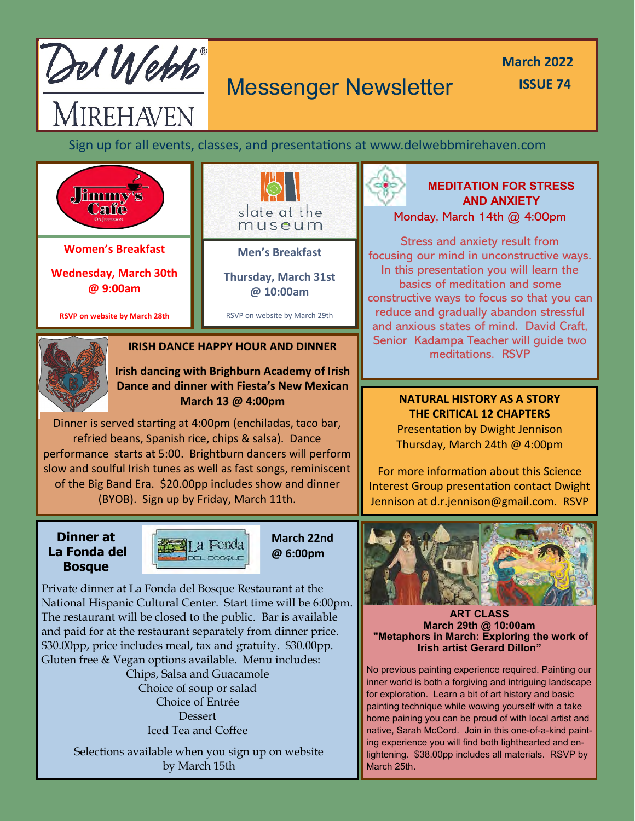

MIREHAVEN

# Messenger Newsletter

**March 2022 ISSUE 74**

Sign up for all events, classes, and presentations at www.delwebbmirehaven.com



**Women's Breakfast**

**Wednesday, March 30th @ 9:00am**

**RSVP on website by March 28th**



**Men's Breakfast**

**Thursday, March 31st @ 10:00am**

RSVP on website by March 29th



#### **IRISH DANCE HAPPY HOUR AND DINNER**

**Irish dancing with Brighburn Academy of Irish Dance and dinner with Fiesta's New Mexican March 13 @ 4:00pm**

Dinner is served starting at 4:00pm (enchiladas, taco bar, refried beans, Spanish rice, chips & salsa). Dance performance starts at 5:00. Brightburn dancers will perform slow and soulful Irish tunes as well as fast songs, reminiscent of the Big Band Era. \$20.00pp includes show and dinner (BYOB). Sign up by Friday, March 11th.

**Dinner at La Fonda del Bosque**



**March 22nd @ 6:00pm**

Private dinner at La Fonda del Bosque Restaurant at the National Hispanic Cultural Center. Start time will be 6:00pm. The restaurant will be closed to the public. Bar is available and paid for at the restaurant separately from dinner price. \$30.00pp, price includes meal, tax and gratuity. \$30.00pp. Gluten free & Vegan options available. Menu includes:

> Chips, Salsa and Guacamole Choice of soup or salad Choice of Entrée Dessert Iced Tea and Coffee

Selections available when you sign up on website by March 15th



#### **MEDITATION FOR STRESS AND ANXIETY** Monday, March 14th @ 4:00pm

Stress and anxiety result from focusing our mind in unconstructive ways. In this presentation you will learn the basics of meditation and some constructive ways to focus so that you can reduce and gradually abandon stressful and anxious states of mind. David Craft, Senior Kadampa Teacher will guide two

> **NATURAL HISTORY AS A STORY THE CRITICAL 12 CHAPTERS** Presentation by Dwight Jennison Thursday, March 24th @ 4:00pm

For more information about this Science Interest Group presentation contact Dwight Jennison at d.r.jennison@gmail.com. RSVP



**ART CLASS March 29th @ 10:00am "Metaphors in March: Exploring the work of Irish artist Gerard Dillon"** 

No previous painting experience required. Painting our inner world is both a forgiving and intriguing landscape for exploration. Learn a bit of art history and basic painting technique while wowing yourself with a take home paining you can be proud of with local artist and native, Sarah McCord. Join in this one-of-a-kind painting experience you will find both lighthearted and enlightening. \$38.00pp includes all materials. RSVP by March 25th.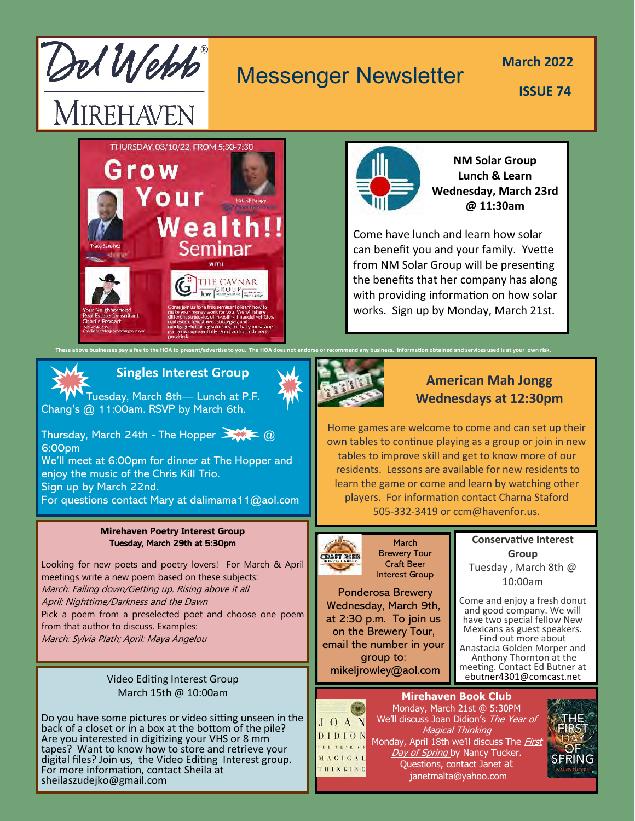

# Messenger Newsletter

**March 2022** 

**ISSUE 74**





**NM Solar Group Lunch & Learn Wednesday, March 23rd @ 11:30am**

Come have lunch and learn how solar can benefit you and your family. Yvette from NM Solar Group will be presenting the benefits that her company has along with providing information on how solar works. Sign up by Monday, March 21st.

# **Singles Interest Group**

Tuesday, March 8th— Lunch at P.F. Chang's @ 11:00am. RSVP by March 6th.

Thursday, March 24th - The Hopper  $\geq 0$ 6:00pm

We'll meet at 6:00pm for dinner at The Hopper and enjoy the music of the Chris Kill Trio. Sign up by March 22nd. For questions contact Mary at dalimama11@aol.com

#### **Mirehaven Poetry Interest Group** Tuesday, March 29th at 5:30pm

Looking for new poets and poetry lovers! For March & April meetings write a new poem based on these subjects: March: Falling down/Getting up. Rising above it all April: Nighttime/Darkness and the Dawn Pick a poem from a preselected poet and choose one poem from that author to discuss. Examples: March: Sylvia Plath; April: Maya Angelou

#### Video Editing Interest Group March 15th @ 10:00am

Do you have some pictures or video sitting unseen in the back of a closet or in a box at the bottom of the pile? Are you interested in digitizing your VHS or 8 mm tapes? Want to know how to store and retrieve your digital files? Join us, the Video Editing Interest group. For more information, contact Sheila at sheilaszudejko@gmail.com



## **American Mah Jongg Wednesdays at 12:30pm**

Home games are welcome to come and can set up their own tables to continue playing as a group or join in new tables to improve skill and get to know more of our residents. Lessons are available for new residents to learn the game or come and learn by watching other players. For information contact Charna Staford 505-332-3419 or ccm@havenfor.us.



March Brewery Tour Craft Beer Interest Group

Ponderosa Brewery Wednesday, March 9th, at 2:30 p.m. To join us on the Brewery Tour, email the number in your group to: mikeljrowley@aol.com

#### **Conservative Interest Group**  Tuesday , March 8th @ 10:00am

Come and enjoy a fresh donut and good company. We will have two special fellow New Mexicans as guest speakers. Find out more about Anastacia Golden Morper and Anthony Thornton at the meeting. Contact Ed Butner at ebutner4301@comcast.net

## **Mirehaven Book Club**



Monday, March 21st @ 5:30PM We'll discuss Joan Didion's *The Year of* **Magical Thinking** Monday, April 18th we'll discuss The *First* Day of Spring by Nancy Tucker. Questions, contact Janet at janetmalta@yahoo.com

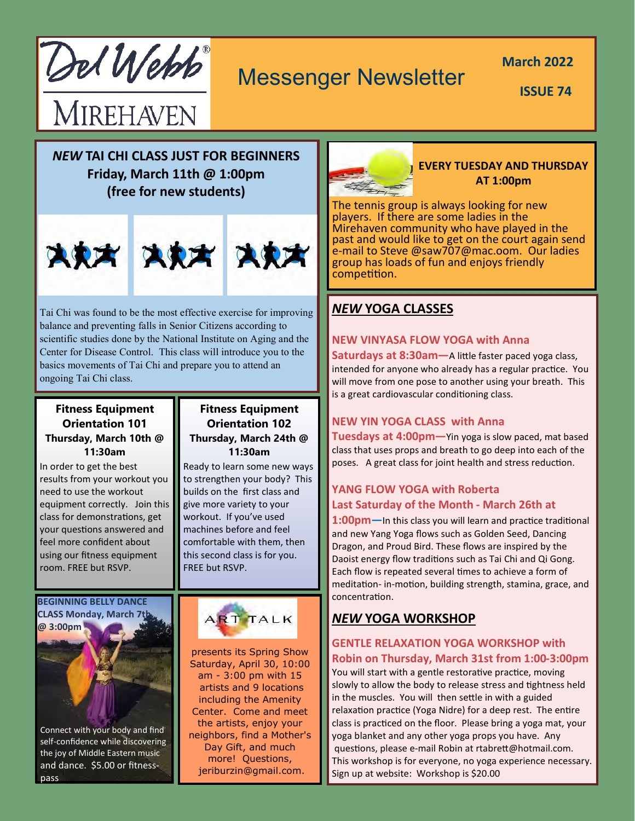Del Webb

# Messenger Newsletter

**March 2022** 

**ISSUE 74**

# MIREHAVEN

*NEW* **TAI CHI CLASS JUST FOR BEGINNERS Friday, March 11th @ 1:00pm (free for new students)**



Tai Chi was found to be the most effective exercise for improving balance and preventing falls in Senior Citizens according to scientific studies done by the National Institute on Aging and the Center for Disease Control. This class will introduce you to the basics movements of Tai Chi and prepare you to attend an ongoing Tai Chi class.

#### **Fitness Equipment Orientation 101 Thursday, March 10th @ 11:30am**

In order to get the best results from your workout you need to use the workout equipment correctly. Join this class for demonstrations, get your questions answered and feel more confident about using our fitness equipment room. FREE but RSVP.

#### **BEGINNING BELLY DANCE CLASS Monday, March 7th**



Connect with your body and find self-confidence while discovering the joy of Middle Eastern music and dance. \$5.00 or fitnesspass

#### **Fitness Equipment Orientation 102 Thursday, March 24th @ 11:30am**

Ready to learn some new ways to strengthen your body? This builds on the first class and give more variety to your workout. If you've used machines before and feel comfortable with them, then this second class is for you. FREE but RSVP.



presents its Spring Show Saturday, April 30, 10:00 am - 3:00 pm with 15 artists and 9 locations including the Amenity Center. Come and meet the artists, enjoy your neighbors, find a Mother's Day Gift, and much more! Questions, jeriburzin@gmail.com.



#### **EVERY TUESDAY AND THURSDAY AT 1:00pm**

The tennis group is always looking for new players. If there are some ladies in the Mirehaven community who have played in the past and would like to get on the court again send e-mail to Steve @saw707@mac.oom. Our ladies group has loads of fun and enjoys friendly competition.

## *NEW* **YOGA CLASSES**

## **NEW VINYASA FLOW YOGA with Anna**

**Saturdays at 8:30am—**A little faster paced yoga class, intended for anyone who already has a regular practice. You will move from one pose to another using your breath. This is a great cardiovascular conditioning class.

#### **NEW YIN YOGA CLASS with Anna**

**Tuesdays at 4:00pm—**Yin yoga is slow paced, mat based class that uses props and breath to go deep into each of the poses. A great class for joint health and stress reduction.

## **YANG FLOW YOGA with Roberta Last Saturday of the Month - March 26th at**

**1:00pm—**In this class you will learn and practice traditional and new Yang Yoga flows such as Golden Seed, Dancing Dragon, and Proud Bird. These flows are inspired by the Daoist energy flow traditions such as Tai Chi and Qi Gong. Each flow is repeated several times to achieve a form of meditation- in-motion, building strength, stamina, grace, and concentration.

# *NEW* **YOGA WORKSHOP**

#### **GENTLE RELAXATION YOGA WORKSHOP with Robin on Thursday, March 31st from 1:00-3:00pm**

You will start with a gentle restorative practice, moving slowly to allow the body to release stress and tightness held in the muscles. You will then settle in with a guided relaxation practice (Yoga Nidre) for a deep rest. The entire class is practiced on the floor. Please bring a yoga mat, your yoga blanket and any other yoga props you have. Any questions, please e-mail Robin at rtabrett@hotmail.com. This workshop is for everyone, no yoga experience necessary. Sign up at website: Workshop is \$20.00